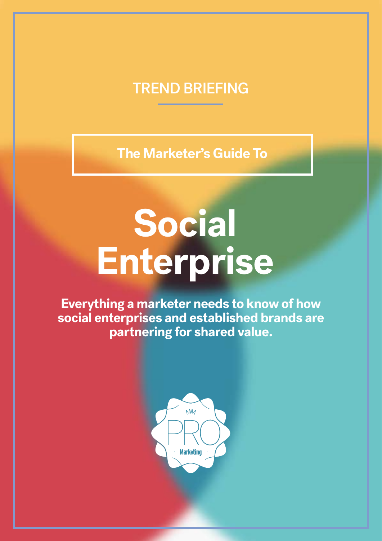### TREND BRIEFING

**The Marketer's Guide To**

## **Social Enterprise**

**Everything a marketer needs to know of how social enterprises and established brands are partnering for shared value.**

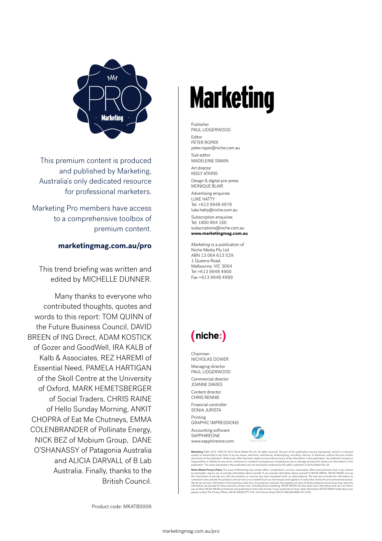

This premium content is produced and published by Marketing, Australia's only dedicated resource for professional marketers.

Marketing Pro members have access to a comprehensive toolbox of premium content.

#### **marketingmag.com.au/pro**

This trend briefing was written and edited by MICHELLE DUNNER.

Many thanks to everyone who contributed thoughts, quotes and words to this report: TOM QUINN of the Future Business Council, DAVID BREEN of ING Direct, ADAM KOSTICK of Gozer and GoodWell, IRA KALB of Kalb & Associates, REZ HAREMI of Essential Need, PAMELA HARTIGAN of the Skoll Centre at the University of Oxford, MARK HEMETSBERGER of Social Traders, CHRIS RAINE of Hello Sunday Morning, ANKIT CHOPRA of Eat Me Chutneys, EMMA COLENBRANDER of Pollinate Energy, NICK BEZ of Mobium Group, DANE O'SHANASSY of Patagonia Australia and ALICIA DARVALL of B Lab Australia. Finally, thanks to the British Council.

## **Marketing**

Publisher PAUL LIDGERWOOD Editor PETER ROPER peter.roper@niche.com.au Sub editor MADELEINE SWAIN Art director KEELY ATKINS Design & digital pre-press MONIQUE BLAIR Advertising enquiries LUKE HATTY Tel: +613 9948 4978 luke.hatty@niche.com.au Subscription enquiries Tel: 1800 804 160 subscriptions@niche.com.au

**www.marketingmag.com.au** 

*Marketing* is a publication of Niche Media Pty Ltd ABN 13 064 613 529. 1 Queens Road, Melbourne, VIC 3004 Tel +613 9948 4900 Fax +613 9948 4999

#### (niche:)

Chairman NICHOLAS DOWER Managing director PAUL LIDGERWOOD Commercial director JOANNE DAVIES

Content director CHRIS RENNIE

Financial controller SONIA JURISTA Printing

GRAPHIC IMPRESSIONS Accounting software

**SAPPHIREONE** www.sapphireone.com



**Marketing** ISSN 1441-7863 © 2015 Niche Media Pty Ltd. All rights reserved. No part of this publication may be reproduced, stored in a retriveal<br>system or transmitted in any form or by any means, electronic, mechanical, ph

**Niche Media Privacy Policy** This issue of Marketing may contain offers, competitions, surveys, subscription offers and premiums that, if you choose to participate. The products of the products of the products of the produ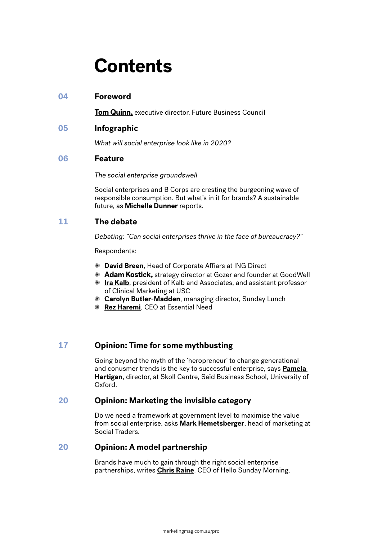## **Contents**

#### **04 Foreword**

**Tom Quinn,** executive director, Future Business Council

**05 Infographic**

*What will social enterprise look like in 2020?*

#### **06 Feature**

*The social enterprise groundswell*

Social enterprises and B Corps are cresting the burgeoning wave of responsible consumption. But what's in it for brands? A sustainable future, as **Michelle Dunner** reports.

#### **11 The debate**

*Debating: "Can social enterprises thrive in the face of bureaucracy?"*

Respondents:

- ✺ **David Breen**, Head of Corporate Affiars at ING Direct
- ✺ **Adam Kostick,** strategy director at Gozer and founder at GoodWell
- ✺ **Ira Kalb**, president of Kalb and Associates, and assistant professor of Clinical Marketing at USC
- ✺ **Carolyn Butler-Madden**, managing director, Sunday Lunch
- ✺ **Rez Haremi**, CEO at Essential Need

#### **17 Opinion: Time for some mythbusting**

Going beyond the myth of the 'heropreneur' to change generational and conusmer trends is the key to successful enterprise, says **Pamela Hartigan**, director, at Skoll Centre, Saïd Business School, University of Oxford.

#### **20 Opinion: Marketing the invisible category**

Do we need a framework at government level to maximise the value from social enterprise, asks **Mark Hemetsberger**, head of marketing at Social Traders.

#### **20 Opinion: A model partnership**

Brands have much to gain through the right social enterprise partnerships, writes **Chris Raine**, CEO of Hello Sunday Morning.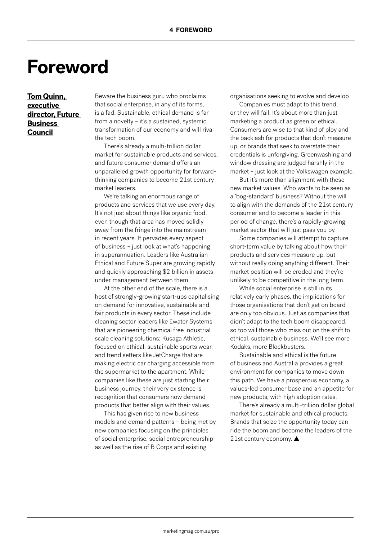### **Foreword**

#### **Tom Quinn, executive director, Future Business Council**

Beware the business guru who proclaims that social enterprise, in any of its forms, is a fad. Sustainable, ethical demand is far from a novelty – it's a sustained, systemic transformation of our economy and will rival the tech boom.

There's already a multi-trillion dollar market for sustainable products and services, and future consumer demand offers an unparalleled growth opportunity for forwardthinking companies to become 21st century market leaders.

We're talking an enormous range of products and services that we use every day. It's not just about things like organic food, even though that area has moved solidly away from the fringe into the mainstream in recent years. It pervades every aspect of business – just look at what's happening in superannuation. Leaders like Australian Ethical and Future Super are growing rapidly and quickly approaching \$2 billion in assets under management between them.

At the other end of the scale, there is a host of strongly-growing start-ups capitalising on demand for innovative, sustainable and fair products in every sector. These include cleaning sector leaders like Ewater Systems that are pioneering chemical free industrial scale cleaning solutions; Kusaga Athletic, focused on ethical, sustainable sports wear, and trend setters like JetCharge that are making electric car charging accessible from the supermarket to the apartment. While companies like these are just starting their business journey, their very existence is recognition that consumers now demand products that better align with their values.

This has given rise to new business models and demand patterns – being met by new companies focusing on the principles of social enterprise, social entrepreneurship as well as the rise of B Corps and existing

organisations seeking to evolve and develop

Companies must adapt to this trend, or they will fail. It's about more than just marketing a product as green or ethical. Consumers are wise to that kind of ploy and the backlash for products that don't measure up, or brands that seek to overstate their credentials is unforgiving. Greenwashing and window dressing are judged harshly in the market – just look at the Volkswagen example.

But it's more than alignment with these new market values. Who wants to be seen as a 'bog-standard' business? Without the will to align with the demands of the 21st century consumer and to become a leader in this period of change, there's a rapidly-growing market sector that will just pass you by.

Some companies will attempt to capture short-term value by talking about how their products and services measure up, but without really doing anything different. Their market position will be eroded and they're unlikely to be competitive in the long term.

While social enterprise is still in its relatively early phases, the implications for those organisations that don't get on board are only too obvious. Just as companies that didn't adapt to the tech boom disappeared, so too will those who miss out on the shift to ethical, sustainable business. We'll see more Kodaks, more Blockbusters.

Sustainable and ethical is the future of business and Australia provides a great environment for companies to move down this path. We have a prosperous economy, a values-led consumer base and an appetite for new products, with high adoption rates.

There's already a multi-trillion dollar global market for sustainable and ethical products. Brands that seize the opportunity today can ride the boom and become the leaders of the 21st century economy. ▲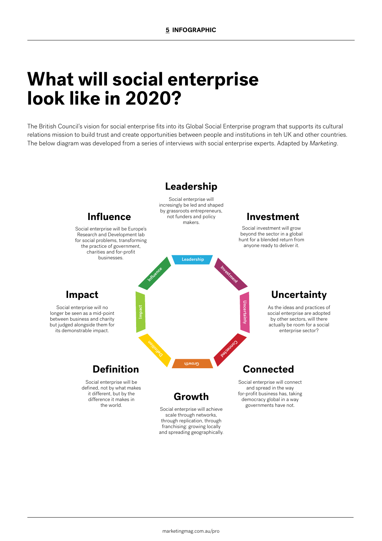## **What will social enterprise look like in 2020?**

The British Council's vision for social enterprise fits into its Global Social Enterprise program that supports its cultural relations mission to build trust and create opportunities between people and institutions in teh UK and other countries. The below diagram was developed from a series of interviews with social enterprise experts. Adapted by *Marketing*.

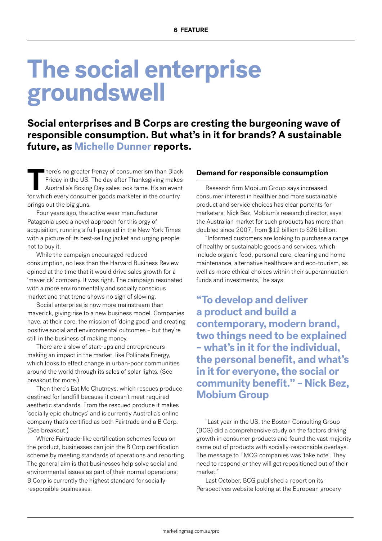## **The social enterprise groundswell**

**Social enterprises and B Corps are cresting the burgeoning wave of responsible consumption. But what's in it for brands? A sustainable future, as Michelle Dunner reports.** 

**There's no greater frenzy of consumerism than Black<br>Friday in the US. The day after Thanksgiving makes<br>Australia's Boxing Day sales look tame. It's an event<br>for which every consumer goods marketer in the country** Friday in the US. The day after Thanksgiving makes Australia's Boxing Day sales look tame. It's an event for which every consumer goods marketer in the country brings out the big guns.

Four years ago, the active wear manufacturer Patagonia used a novel approach for this orgy of acquisition, running a full-page ad in the New York Times with a picture of its best-selling jacket and urging people not to buy it.

While the campaign encouraged reduced consumption, no less than the Harvard Business Review opined at the time that it would drive sales growth for a 'maverick' company. It was right. The campaign resonated with a more environmentally and socially conscious market and that trend shows no sign of slowing.

Social enterprise is now more mainstream than maverick, giving rise to a new business model. Companies have, at their core, the mission of 'doing good' and creating positive social and environmental outcomes – but they're still in the business of making money.

There are a slew of start-ups and entrepreneurs making an impact in the market, like Pollinate Energy, which looks to effect change in urban-poor communities around the world through its sales of solar lights. (See breakout for more.)

Then there's Eat Me Chutneys, which rescues produce destined for landfill because it doesn't meet required aesthetic standards. From the rescued produce it makes 'socially epic chutneys' and is currently Australia's online company that's certified as both Fairtrade and a B Corp. (See breakout.)

Where Fairtrade-like certification schemes focus on the product, businesses can join the B Corp certification scheme by meeting standards of operations and reporting. The general aim is that businesses help solve social and environmental issues as part of their normal operations; B Corp is currently the highest standard for socially responsible businesses.

#### **Demand for responsible consumption**

Research firm Mobium Group says increased consumer interest in healthier and more sustainable product and service choices has clear portents for marketers. Nick Bez, Mobium's research director, says the Australian market for such products has more than doubled since 2007, from \$12 billion to \$26 billion.

"Informed customers are looking to purchase a range of healthy or sustainable goods and services, which include organic food, personal care, cleaning and home maintenance, alternative healthcare and eco-tourism, as well as more ethical choices within their superannuation funds and investments," he says

**"To develop and deliver a product and build a contemporary, modern brand, two things need to be explained – what's in it for the individual, the personal benefit, and what's in it for everyone, the social or community benefit." – Nick Bez, Mobium Group**

"Last year in the US, the Boston Consulting Group (BCG) did a comprehensive study on the factors driving growth in consumer products and found the vast majority came out of products with socially-responsible overlays. The message to FMCG companies was 'take note'. They need to respond or they will get repositioned out of their market."

Last October, BCG published a report on its Perspectives website looking at the European grocery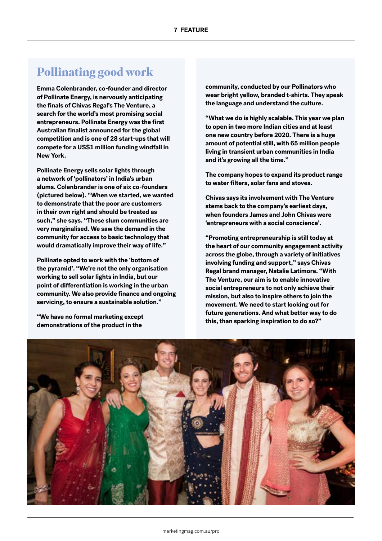#### **Pollinating good work**

**Emma Colenbrander, co-founder and director of Pollinate Energy, is nervously anticipating the finals of Chivas Regal's The Venture, a search for the world's most promising social entrepreneurs. Pollinate Energy was the first Australian finalist announced for the global competition and is one of 28 start-ups that will compete for a US\$1 million funding windfall in New York.**

**Pollinate Energy sells solar lights through a network of 'pollinators' in India's urban slums. Colenbrander is one of six co-founders (pictured below). "When we started, we wanted to demonstrate that the poor are customers in their own right and should be treated as such," she says. "These slum communities are very marginalised. We saw the demand in the community for access to basic technology that would dramatically improve their way of life."**

**Pollinate opted to work with the 'bottom of the pyramid'. "We're not the only organisation working to sell solar lights in India, but our point of differentiation is working in the urban community. We also provide finance and ongoing servicing, to ensure a sustainable solution."**

**"We have no formal marketing except demonstrations of the product in the** 

**community, conducted by our Pollinators who wear bright yellow, branded t-shirts. They speak the language and understand the culture.**

**"What we do is highly scalable. This year we plan to open in two more Indian cities and at least one new country before 2020. There is a huge amount of potential still, with 65 million people living in transient urban communities in India and it's growing all the time."**

**The company hopes to expand its product range to water filters, solar fans and stoves.**

**Chivas says its involvement with The Venture stems back to the company's earliest days, when founders James and John Chivas were 'entrepreneurs with a social conscience'.** 

**"Promoting entrepreneurship is still today at the heart of our community engagement activity across the globe, through a variety of initiatives involving funding and support," says Chivas Regal brand manager, Natalie Latimore. "With The Venture, our aim is to enable innovative social entrepreneurs to not only achieve their mission, but also to inspire others to join the movement. We need to start looking out for future generations. And what better way to do this, than sparking inspiration to do so?"**

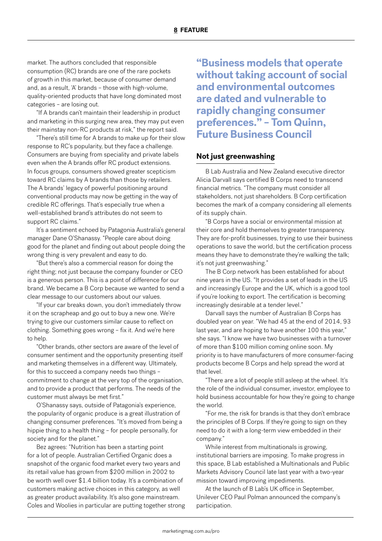market. The authors concluded that responsible consumption (RC) brands are one of the rare pockets of growth in this market, because of consumer demand and, as a result, 'A' brands – those with high-volume, quality-oriented products that have long dominated most categories – are losing out.

"If A brands can't maintain their leadership in product and marketing in this surging new area, they may put even their mainstay non-RC products at risk," the report said.

"There's still time for A brands to make up for their slow response to RC's popularity, but they face a challenge. Consumers are buying from speciality and private labels even when the A brands offer RC product extensions. In focus groups, consumers showed greater scepticism toward RC claims by A brands than those by retailers. The A brands' legacy of powerful positioning around conventional products may now be getting in the way of credible RC offerings. That's especially true when a well-established brand's attributes do not seem to support RC claims."

It's a sentiment echoed by Patagonia Australia's general manager Dane O'Shanassy. "People care about doing good for the planet and finding out about people doing the wrong thing is very prevalent and easy to do.

"But there's also a commercial reason for doing the right thing; not just because the company founder or CEO is a generous person. This is a point of difference for our brand. We became a B Corp because we wanted to send a clear message to our customers about our values.

"If your car breaks down, you don't immediately throw it on the scrapheap and go out to buy a new one. We're trying to give our customers similar cause to reflect on clothing. Something goes wrong – fix it. And we're here to help.

"Other brands, other sectors are aware of the level of consumer sentiment and the opportunity presenting itself and marketing themselves in a different way. Ultimately, for this to succeed a company needs two things – commitment to change at the very top of the organisation, and to provide a product that performs. The needs of the customer must always be met first."

O'Shanassy says, outside of Patagonia's experience, the popularity of organic produce is a great illustration of changing consumer preferences. "It's moved from being a hippie thing to a health thing – for people personally, for society and for the planet."

Bez agrees: "Nutrition has been a starting point for a lot of people. Australian Certified Organic does a snapshot of the organic food market every two years and its retail value has grown from \$200 million in 2002 to be worth well over \$1.4 billion today. It's a combination of customers making active choices in this category, as well as greater product availability. It's also gone mainstream. Coles and Woolies in particular are putting together strong **"Business models that operate without taking account of social and environmental outcomes are dated and vulnerable to rapidly changing consumer preferences." – Tom Quinn, Future Business Council**

#### **Not just greenwashing**

B Lab Australia and New Zealand executive director Alicia Darvall says certified B Corps need to transcend financial metrics. "The company must consider all stakeholders, not just shareholders. B Corp certification becomes the mark of a company considering all elements of its supply chain.

"B Corps have a social or environmental mission at their core and hold themselves to greater transparency. They are for-profit businesses, trying to use their business operations to save the world, but the certification process means they have to demonstrate they're walking the talk; it's not just greenwashing."

The B Corp network has been established for about nine years in the US. "It provides a set of leads in the US and increasingly Europe and the UK, which is a good tool if you're looking to export. The certification is becoming increasingly desirable at a tender level."

Darvall says the number of Australian B Corps has doubled year on year. "We had 45 at the end of 2014, 93 last year, and are hoping to have another 100 this year," she says. "I know we have two businesses with a turnover of more than \$100 million coming online soon. My priority is to have manufacturers of more consumer-facing products become B Corps and help spread the word at that level.

"There are a lot of people still asleep at the wheel. It's the role of the individual consumer, investor, employee to hold business accountable for how they're going to change the world.

"For me, the risk for brands is that they don't embrace the principles of B Corps. If they're going to sign on they need to do it with a long-term view embedded in their company."

While interest from multinationals is growing, institutional barriers are imposing. To make progress in this space, B Lab established a Multinationals and Public Markets Advisory Council late last year with a two-year mission toward improving impediments.

At the launch of B Lab's UK office in September, Unilever CEO Paul Polman announced the company's participation.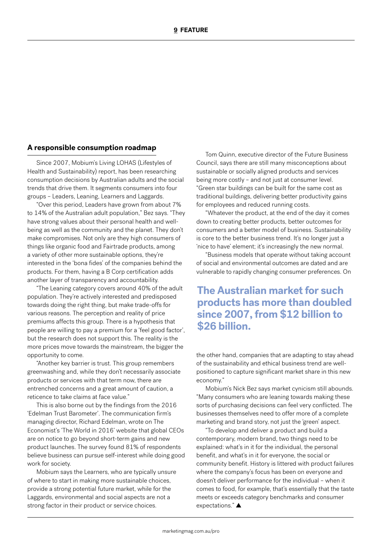#### **A responsible consumption roadmap**

Since 2007, Mobium's Living LOHAS (Lifestyles of Health and Sustainability) report, has been researching consumption decisions by Australian adults and the social trends that drive them. It segments consumers into four groups – Leaders, Leaning, Learners and Laggards.

"Over this period, Leaders have grown from about 7% to 14% of the Australian adult population," Bez says. "They have strong values about their personal health and wellbeing as well as the community and the planet. They don't make compromises. Not only are they high consumers of things like organic food and Fairtrade products, among a variety of other more sustainable options, they're interested in the 'bona fides' of the companies behind the products. For them, having a B Corp certification adds another layer of transparency and accountability.

"The Leaning category covers around 40% of the adult population. They're actively interested and predisposed towards doing the right thing, but make trade-offs for various reasons. The perception and reality of price premiums affects this group. There is a hypothesis that people are willing to pay a premium for a 'feel good factor', but the research does not support this. The reality is the more prices move towards the mainstream, the bigger the opportunity to come.

"Another key barrier is trust. This group remembers greenwashing and, while they don't necessarily associate products or services with that term now, there are entrenched concerns and a great amount of caution, a reticence to take claims at face value."

This is also borne out by the findings from the 2016 'Edelman Trust Barometer'. The communication firm's managing director, Richard Edelman, wrote on The Economist's 'The World in 2016' website that global CEOs are on notice to go beyond short-term gains and new product launches. The survey found 81% of respondents believe business can pursue self-interest while doing good work for society.

Mobium says the Learners, who are typically unsure of where to start in making more sustainable choices, provide a strong potential future market, while for the Laggards, environmental and social aspects are not a strong factor in their product or service choices.

Tom Quinn, executive director of the Future Business Council, says there are still many misconceptions about sustainable or socially aligned products and services being more costly – and not just at consumer level. "Green star buildings can be built for the same cost as traditional buildings, delivering better productivity gains for employees and reduced running costs.

"Whatever the product, at the end of the day it comes down to creating better products, better outcomes for consumers and a better model of business. Sustainability is core to the better business trend. It's no longer just a 'nice to have' element; it's increasingly the new normal.

"Business models that operate without taking account of social and environmental outcomes are dated and are vulnerable to rapidly changing consumer preferences. On

#### **The Australian market for such products has more than doubled since 2007, from \$12 billion to \$26 billion.**

the other hand, companies that are adapting to stay ahead of the sustainability and ethical business trend are wellpositioned to capture significant market share in this new economy."

Mobium's Nick Bez says market cynicism still abounds. "Many consumers who are leaning towards making these sorts of purchasing decisions can feel very conflicted. The businesses themselves need to offer more of a complete marketing and brand story, not just the 'green' aspect.

"To develop and deliver a product and build a contemporary, modern brand, two things need to be explained: what's in it for the individual, the personal benefit, and what's in it for everyone, the social or community benefit. History is littered with product failures where the company's focus has been on everyone and doesn't deliver performance for the individual – when it comes to food, for example, that's essentially that the taste meets or exceeds category benchmarks and consumer expectations." ▲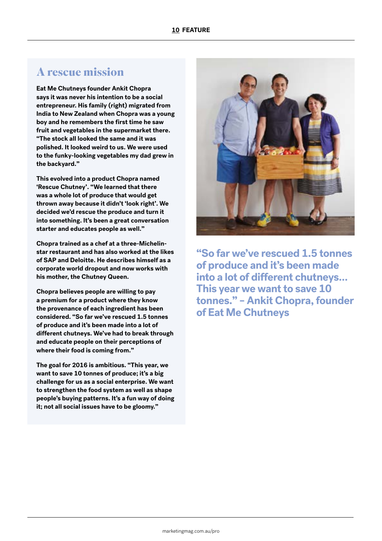#### **A rescue mission**

**Eat Me Chutneys founder Ankit Chopra says it was never his intention to be a social entrepreneur. His family (right) migrated from India to New Zealand when Chopra was a young boy and he remembers the first time he saw fruit and vegetables in the supermarket there. "The stock all looked the same and it was polished. It looked weird to us. We were used to the funky-looking vegetables my dad grew in the backyard."**

**This evolved into a product Chopra named 'Rescue Chutney'. "We learned that there was a whole lot of produce that would get thrown away because it didn't 'look right'. We decided we'd rescue the produce and turn it into something. It's been a great conversation starter and educates people as well."**

**Chopra trained as a chef at a three-Michelinstar restaurant and has also worked at the likes of SAP and Deloitte. He describes himself as a corporate world dropout and now works with his mother, the Chutney Queen.**

**Chopra believes people are willing to pay a premium for a product where they know the provenance of each ingredient has been considered. "So far we've rescued 1.5 tonnes of produce and it's been made into a lot of different chutneys. We've had to break through and educate people on their perceptions of where their food is coming from."**

**The goal for 2016 is ambitious. "This year, we want to save 10 tonnes of produce; it's a big challenge for us as a social enterprise. We want to strengthen the food system as well as shape people's buying patterns. It's a fun way of doing it; not all social issues have to be gloomy."**



**"So far we've rescued 1.5 tonnes of produce and it's been made into a lot of different chutneys… This year we want to save 10 tonnes." – Ankit Chopra, founder of Eat Me Chutneys**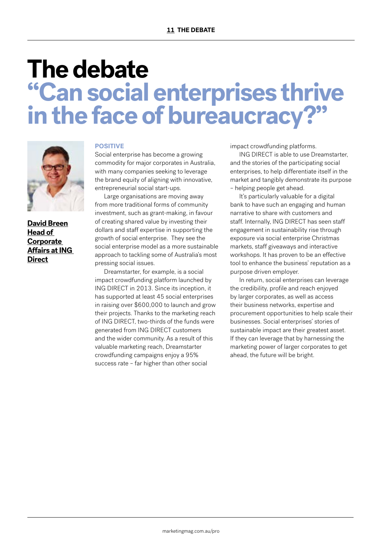## **The debate "Can social enterprises thrive in the face of bureaucracy?"**



**David Breen Head of Corporate Affairs at ING Direct**

#### **POSITIVE**

Social enterprise has become a growing commodity for major corporates in Australia, with many companies seeking to leverage the brand equity of aligning with innovative, entrepreneurial social start-ups.

Large organisations are moving away from more traditional forms of community investment, such as grant-making, in favour of creating shared value by investing their dollars and staff expertise in supporting the growth of social enterprise. They see the social enterprise model as a more sustainable approach to tackling some of Australia's most pressing social issues.

Dreamstarter, for example, is a social impact crowdfunding platform launched by ING DIRECT in 2013. Since its inception, it has supported at least 45 social enterprises in raising over \$600,000 to launch and grow their projects. Thanks to the marketing reach of ING DIRECT, two-thirds of the funds were generated from ING DIRECT customers and the wider community. As a result of this valuable marketing reach, Dreamstarter crowdfunding campaigns enjoy a 95% success rate – far higher than other social

impact crowdfunding platforms.

ING DIRECT is able to use Dreamstarter, and the stories of the participating social enterprises, to help differentiate itself in the market and tangibly demonstrate its purpose – helping people get ahead.

It's particularly valuable for a digital bank to have such an engaging and human narrative to share with customers and staff. Internally, ING DIRECT has seen staff engagement in sustainability rise through exposure via social enterprise Christmas markets, staff giveaways and interactive workshops. It has proven to be an effective tool to enhance the business' reputation as a purpose driven employer.

In return, social enterprises can leverage the credibility, profile and reach enjoyed by larger corporates, as well as access their business networks, expertise and procurement opportunities to help scale their businesses. Social enterprises' stories of sustainable impact are their greatest asset. If they can leverage that by harnessing the marketing power of larger corporates to get ahead, the future will be bright.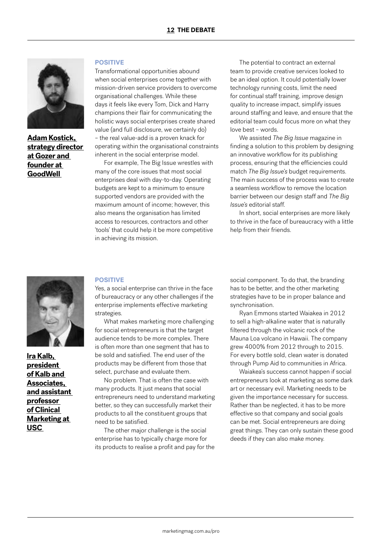

**Adam Kostick, strategy director at Gozer and founder at GoodWell** 

#### **POSITIVE**

Transformational opportunities abound when social enterprises come together with mission-driven service providers to overcome organisational challenges. While these days it feels like every Tom, Dick and Harry champions their flair for communicating the holistic ways social enterprises create shared value (and full disclosure, we certainly do) – the real value-add is a proven knack for operating within the organisational constraints inherent in the social enterprise model.

For example, The Big Issue wrestles with many of the core issues that most social enterprises deal with day-to-day. Operating budgets are kept to a minimum to ensure supported vendors are provided with the maximum amount of income; however, this also means the organisation has limited access to resources, contractors and other 'tools' that could help it be more competitive in achieving its mission.

The potential to contract an external team to provide creative services looked to be an ideal option. It could potentially lower technology running costs, limit the need for continual staff training, improve design quality to increase impact, simplify issues around staffing and leave, and ensure that the editorial team could focus more on what they love best – words.

We assisted *The Big Issue* magazine in finding a solution to this problem by designing an innovative workflow for its publishing process, ensuring that the efficiencies could match *The Big Issue's* budget requirements. The main success of the process was to create a seamless workflow to remove the location barrier between our design staff and *The Big Issue's* editorial staff.

In short, social enterprises are more likely to thrive in the face of bureaucracy with a little help from their friends.



**Ira Kalb, president of Kalb and Associates, and assistant professor of Clinical Marketing at USC** 

#### **POSITIVE**

Yes, a social enterprise can thrive in the face of bureaucracy or any other challenges if the enterprise implements effective marketing strategies.

What makes marketing more challenging for social entrepreneurs is that the target audience tends to be more complex. There is often more than one segment that has to be sold and satisfied. The end user of the products may be different from those that select, purchase and evaluate them.

No problem. That is often the case with many products. It just means that social entrepreneurs need to understand marketing better, so they can successfully market their products to all the constituent groups that need to be satisfied.

The other major challenge is the social enterprise has to typically charge more for its products to realise a profit and pay for the social component. To do that, the branding has to be better, and the other marketing strategies have to be in proper balance and synchronisation.

Ryan Emmons started Waiakea in 2012 to sell a high-alkaline water that is naturally filtered through the volcanic rock of the Mauna Loa volcano in Hawaii. The company grew 4000% from 2012 through to 2015. For every bottle sold, clean water is donated through Pump Aid to communities in Africa.

Waiakea's success cannot happen if social entrepreneurs look at marketing as some dark art or necessary evil. Marketing needs to be given the importance necessary for success. Rather than be neglected, it has to be more effective so that company and social goals can be met. Social entrepreneurs are doing great things. They can only sustain these good deeds if they can also make money.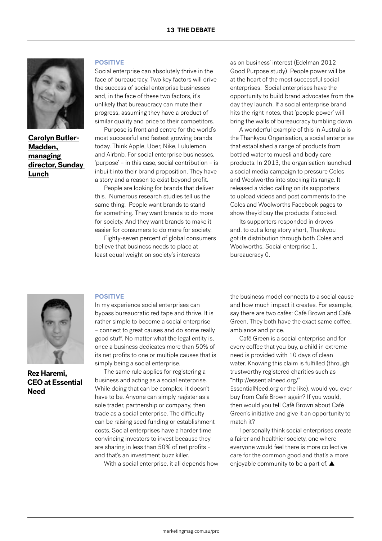

**Carolyn Butler-Madden, managing director, Sunday Lunch**

#### **POSITIVE**

Social enterprise can absolutely thrive in the face of bureaucracy. Two key factors will drive the success of social enterprise businesses and, in the face of these two factors, it's unlikely that bureaucracy can mute their progress, assuming they have a product of similar quality and price to their competitors.

Purpose is front and centre for the world's most successful and fastest growing brands today. Think Apple, Uber, Nike, Lululemon and Airbnb. For social enterprise businesses, 'purpose' – in this case, social contribution – is inbuilt into their brand proposition. They have a story and a reason to exist beyond profit.

People are looking for brands that deliver this. Numerous research studies tell us the same thing. People want brands to stand for something. They want brands to do more for society. And they want brands to make it easier for consumers to do more for society.

Eighty-seven percent of global consumers believe that business needs to place at least equal weight on society's interests

as on business' interest (Edelman 2012 Good Purpose study). People power will be at the heart of the most successful social enterprises. Social enterprises have the opportunity to build brand advocates from the day they launch. If a social enterprise brand hits the right notes, that 'people power' will bring the walls of bureaucracy tumbling down.

A wonderful example of this in Australia is the Thankyou Organisation, a social enterprise that established a range of products from bottled water to muesli and body care products. In 2013, the organisation launched a social media campaign to pressure Coles and Woolworths into stocking its range. It released a video calling on its supporters to upload videos and post comments to the Coles and Woolworths Facebook pages to show they'd buy the products if stocked.

Its supporters responded in droves and, to cut a long story short, Thankyou got its distribution through both Coles and Woolworths. Social enterprise 1, bureaucracy 0.



**Rez Haremi, CEO at Essential Need**

#### **POSITIVE**

In my experience social enterprises can bypass bureaucratic red tape and thrive. It is rather simple to become a social enterprise – connect to great causes and do some really good stuff. No matter what the legal entity is, once a business dedicates more than 50% of its net profits to one or multiple causes that is simply being a social enterprise.

The same rule applies for registering a business and acting as a social enterprise. While doing that can be complex, it doesn't have to be. Anyone can simply register as a sole trader, partnership or company, then trade as a social enterprise. The difficulty can be raising seed funding or establishment costs. Social enterprises have a harder time convincing investors to invest because they are sharing in less than 50% of net profits – and that's an investment buzz killer.

With a social enterprise, it all depends how

the business model connects to a social cause and how much impact it creates. For example, say there are two cafés: Café Brown and Café Green. They both have the exact same coffee, ambiance and price.

Café Green is a social enterprise and for every coffee that you buy, a child in extreme need is provided with 10 days of clean water. Knowing this claim is fulfilled (through trustworthy registered charities such as "http://essentialneed.org/" EssentialNeed.org or the like), would you ever

buy from Café Brown again? If you would, then would you tell Café Brown about Café Green's initiative and give it an opportunity to match it?

I personally think social enterprises create a fairer and healthier society, one where everyone would feel there is more collective care for the common good and that's a more enjoyable community to be a part of. ▲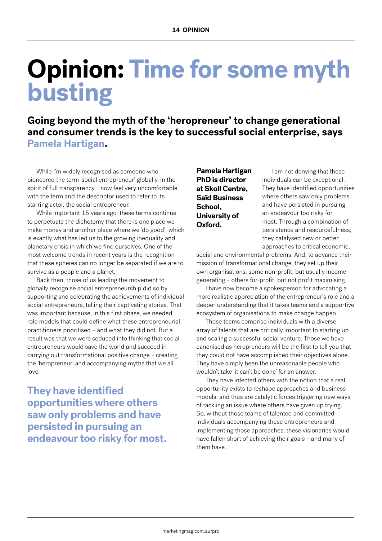# **Opinion: Time for some myth busting**

**Going beyond the myth of the 'heropreneur' to change generational and consumer trends is the key to successful social enterprise, says Pamela Hartigan.** 

While I'm widely recognised as someone who pioneered the term 'social entrepreneur' globally, in the spirit of full transparency, I now feel very uncomfortable with the term and the descriptor used to refer to its starring actor, the social entrepreneur.

While important 15 years ago, these terms continue to perpetuate the dichotomy that there is one place we make money and another place where we 'do good', which is exactly what has led us to the growing inequality and planetary crisis in which we find ourselves. One of the most welcome trends in recent years is the recognition that these spheres can no longer be separated if we are to survive as a people and a planet.

Back then, those of us leading the movement to globally recognise social entrepreneurship did so by supporting and celebrating the achievements of individual social entrepreneurs, telling their captivating stories. That was important because, in this first phase, we needed role models that could define what these entrepreneurial practitioners prioritised – and what they did not. But a result was that we were seduced into thinking that social entrepreneurs would save the world and succeed in carrying out transformational positive change – creating the 'heropreneur' and accompanying myths that we all love.

**They have identified opportunities where others saw only problems and have persisted in pursuing an endeavour too risky for most.** **Pamela Hartigan PhD is director at Skoll Centre, Saïd Business School, University of Oxford.**

I am not denying that these individuals can be exceptional. They have identified opportunities where others saw only problems and have persisted in pursuing an endeavour too risky for most. Through a combination of persistence and resourcefulness, they catalysed new or better approaches to critical economic,

social and environmental problems. And, to advance their mission of transformational change, they set up their own organisations, some non-profit, but usually income generating – others for-profit, but not profit maximising.

I have now become a spokesperson for advocating a more realistic appreciation of the entrepreneur's role and a deeper understanding that it takes teams and a supportive ecosystem of organisations to make change happen.

Those teams comprise individuals with a diverse array of talents that are critically important to starting up and scaling a successful social venture. Those we have canonised as heropreneurs will be the first to tell you that they could not have accomplished their objectives alone. They have simply been the unreasonable people who wouldn't take 'it can't be done' for an answer.

They have infected others with the notion that a real opportunity exists to reshape approaches and business models, and thus are catalytic forces triggering new ways of tackling an issue where others have given up trying. So, without those teams of talented and committed individuals accompanying these entrepreneurs and implementing those approaches, these visionaries would have fallen short of achieving their goals – and many of them have.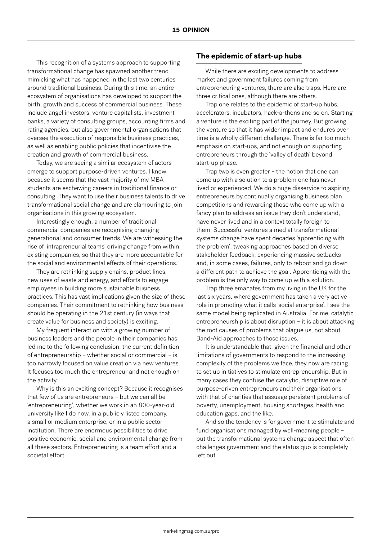This recognition of a systems approach to supporting transformational change has spawned another trend mimicking what has happened in the last two centuries around traditional business. During this time, an entire ecosystem of organisations has developed to support the birth, growth and success of commercial business. These include angel investors, venture capitalists, investment banks, a variety of consulting groups, accounting firms and rating agencies, but also governmental organisations that oversee the execution of responsible business practices, as well as enabling public policies that incentivise the creation and growth of commercial business.

Today, we are seeing a similar ecosystem of actors emerge to support purpose-driven ventures. I know because it seems that the vast majority of my MBA students are eschewing careers in traditional finance or consulting. They want to use their business talents to drive transformational social change and are clamouring to join organisations in this growing ecosystem.

Interestingly enough, a number of traditional commercial companies are recognising changing generational and consumer trends. We are witnessing the rise of 'intrapreneurial teams' driving change from within existing companies, so that they are more accountable for the social and environmental effects of their operations.

They are rethinking supply chains, product lines, new uses of waste and energy, and efforts to engage employees in building more sustainable business practices. This has vast implications given the size of these companies. Their commitment to rethinking how business should be operating in the 21st century (in ways that create value for business and society) is exciting.

My frequent interaction with a growing number of business leaders and the people in their companies has led me to the following conclusion: the current definition of entrepreneurship – whether social or commercial – is too narrowly focused on value creation via new ventures. It focuses too much the entrepreneur and not enough on the activity.

Why is this an exciting concept? Because it recognises that few of us are entrepreneurs – but we can all be 'entrepreneuring', whether we work in an 800-year-old university like I do now, in a publicly listed company, a small or medium enterprise, or in a public sector institution. There are enormous possibilities to drive positive economic, social and environmental change from all these sectors. Entrepreneuring is a team effort and a societal effort.

#### **The epidemic of start-up hubs**

While there are exciting developments to address market and government failures coming from entrepreneuring ventures, there are also traps. Here are three critical ones, although there are others.

Trap one relates to the epidemic of start-up hubs, accelerators, incubators, hack-a-thons and so on. Starting a venture is the exciting part of the journey. But growing the venture so that it has wider impact and endures over time is a wholly different challenge. There is far too much emphasis on start-ups, and not enough on supporting entrepreneurs through the 'valley of death' beyond start-up phase.

Trap two is even greater – the notion that one can come up with a solution to a problem one has never lived or experienced. We do a huge disservice to aspiring entrepreneurs by continually organising business plan competitions and rewarding those who come up with a fancy plan to address an issue they don't understand, have never lived and in a context totally foreign to them. Successful ventures aimed at transformational systems change have spent decades 'apprenticing with the problem', tweaking approaches based on diverse stakeholder feedback, experiencing massive setbacks and, in some cases, failures, only to reboot and go down a different path to achieve the goal. Apprenticing with the problem is the only way to come up with a solution.

Trap three emanates from my living in the UK for the last six years, where government has taken a very active role in promoting what it calls 'social enterprise'. I see the same model being replicated in Australia. For me, catalytic entrepreneurship is about disruption – it is about attacking the root causes of problems that plague us, not about Band-Aid approaches to those issues.

It is understandable that, given the financial and other limitations of governments to respond to the increasing complexity of the problems we face, they now are racing to set up initiatives to stimulate entrepreneurship. But in many cases they confuse the catalytic, disruptive role of purpose-driven entrepreneurs and their organisations with that of charities that assuage persistent problems of poverty, unemployment, housing shortages, health and education gaps, and the like.

And so the tendency is for government to stimulate and fund organisations managed by well-meaning people – but the transformational systems change aspect that often challenges government and the status quo is completely left out.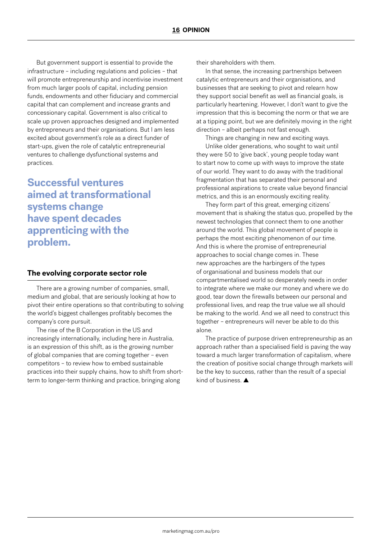But government support is essential to provide the infrastructure – including regulations and policies – that will promote entrepreneurship and incentivise investment from much larger pools of capital, including pension funds, endowments and other fiduciary and commercial capital that can complement and increase grants and concessionary capital. Government is also critical to scale up proven approaches designed and implemented by entrepreneurs and their organisations. But I am less excited about government's role as a direct funder of start-ups, given the role of catalytic entrepreneurial ventures to challenge dysfunctional systems and practices.

**Successful ventures aimed at transformational systems change have spent decades apprenticing with the problem.**

#### **The evolving corporate sector role**

There are a growing number of companies, small, medium and global, that are seriously looking at how to pivot their entire operations so that contributing to solving the world's biggest challenges profitably becomes the company's core pursuit.

The rise of the B Corporation in the US and increasingly internationally, including here in Australia, is an expression of this shift, as is the growing number of global companies that are coming together – even competitors – to review how to embed sustainable practices into their supply chains, how to shift from shortterm to longer-term thinking and practice, bringing along

their shareholders with them.

In that sense, the increasing partnerships between catalytic entrepreneurs and their organisations, and businesses that are seeking to pivot and relearn how they support social benefit as well as financial goals, is particularly heartening. However, I don't want to give the impression that this is becoming the norm or that we are at a tipping point, but we are definitely moving in the right direction – albeit perhaps not fast enough.

Things are changing in new and exciting ways.

Unlike older generations, who sought to wait until they were 50 to 'give back', young people today want to start now to come up with ways to improve the state of our world. They want to do away with the traditional fragmentation that has separated their personal and professional aspirations to create value beyond financial metrics, and this is an enormously exciting reality.

They form part of this great, emerging citizens' movement that is shaking the status quo, propelled by the newest technologies that connect them to one another around the world. This global movement of people is perhaps the most exciting phenomenon of our time. And this is where the promise of entrepreneurial approaches to social change comes in. These new approaches are the harbingers of the types of organisational and business models that our compartmentalised world so desperately needs in order to integrate where we make our money and where we do good, tear down the firewalls between our personal and professional lives, and reap the true value we all should be making to the world. And we all need to construct this together – entrepreneurs will never be able to do this alone.

The practice of purpose driven entrepreneurship as an approach rather than a specialised field is paving the way toward a much larger transformation of capitalism, where the creation of positive social change through markets will be the key to success, rather than the result of a special kind of business. ▲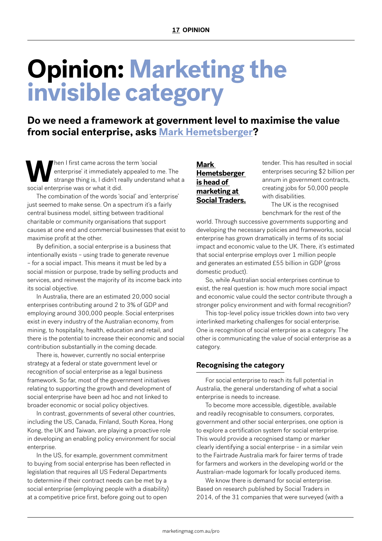# **Opinion: Marketing the invisible category**

**Do we need a framework at government level to maximise the value from social enterprise, asks Mark Hemetsberger?** 

When I first came across the term 'social<br>enterprise' it immediately appealed to r<br>strange thing is, I didn't really understa<br>social enterprise was or what it did enterprise' it immediately appealed to me. The strange thing is, I didn't really understand what a social enterprise was or what it did.

The combination of the words 'social' and 'enterprise' just seemed to make sense. On a spectrum it's a fairly central business model, sitting between traditional charitable or community organisations that support causes at one end and commercial businesses that exist to maximise profit at the other.

By definition, a social enterprise is a business that intentionally exists – using trade to generate revenue – for a social impact. This means it must be led by a social mission or purpose, trade by selling products and services, and reinvest the majority of its income back into its social objective.

In Australia, there are an estimated 20,000 social enterprises contributing around 2 to 3% of GDP and employing around 300,000 people. Social enterprises exist in every industry of the Australian economy, from mining, to hospitality, health, education and retail, and there is the potential to increase their economic and social contribution substantially in the coming decade.

There is, however, currently no social enterprise strategy at a federal or state government level or recognition of social enterprise as a legal business framework. So far, most of the government initiatives relating to supporting the growth and development of social enterprise have been ad hoc and not linked to broader economic or social policy objectives.

In contrast, governments of several other countries, including the US, Canada, Finland, South Korea, Hong Kong, the UK and Taiwan, are playing a proactive role in developing an enabling policy environment for social enterprise.

In the US, for example, government commitment to buying from social enterprise has been reflected in legislation that requires all US Federal Departments to determine if their contract needs can be met by a social enterprise (employing people with a disability) at a competitive price first, before going out to open

#### **Mark Hemetsberger is head of marketing at Social Traders.**

tender. This has resulted in social enterprises securing \$2 billion per annum in government contracts, creating jobs for 50,000 people with disabilities.

The UK is the recognised benchmark for the rest of the

world. Through successive governments supporting and developing the necessary policies and frameworks, social enterprise has grown dramatically in terms of its social impact and economic value to the UK. There, it's estimated that social enterprise employs over 1 million people and generates an estimated £55 billion in GDP (gross domestic product).

So, while Australian social enterprises continue to exist, the real question is: how much more social impact and economic value could the sector contribute through a stronger policy environment and with formal recognition?

This top-level policy issue trickles down into two very interlinked marketing challenges for social enterprise. One is recognition of social enterprise as a category. The other is communicating the value of social enterprise as a category.

#### **Recognising the category**

For social enterprise to reach its full potential in Australia, the general understanding of what a social enterprise is needs to increase.

To become more accessible, digestible, available and readily recognisable to consumers, corporates, government and other social enterprises, one option is to explore a certification system for social enterprise. This would provide a recognised stamp or marker clearly identifying a social enterprise – in a similar vein to the Fairtrade Australia mark for fairer terms of trade for farmers and workers in the developing world or the Australian-made logomark for locally produced items.

We know there is demand for social enterprise. Based on research published by Social Traders in 2014, of the 31 companies that were surveyed (with a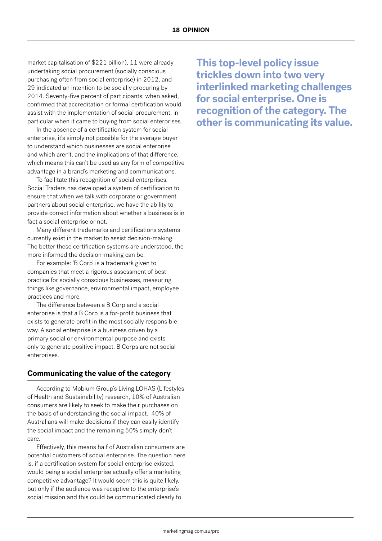market capitalisation of \$221 billion), 11 were already undertaking social procurement (socially conscious purchasing often from social enterprise) in 2012, and 29 indicated an intention to be socially procuring by 2014. Seventy-five percent of participants, when asked, confirmed that accreditation or formal certification would assist with the implementation of social procurement, in particular when it came to buying from social enterprises.

In the absence of a certification system for social enterprise, it's simply not possible for the average buyer to understand which businesses are social enterprise and which aren't, and the implications of that difference, which means this can't be used as any form of competitive advantage in a brand's marketing and communications.

To facilitate this recognition of social enterprises, Social Traders has developed a system of certification to ensure that when we talk with corporate or government partners about social enterprise, we have the ability to provide correct information about whether a business is in fact a social enterprise or not.

Many different trademarks and certifications systems currently exist in the market to assist decision-making. The better these certification systems are understood, the more informed the decision-making can be.

For example: 'B Corp' is a trademark given to companies that meet a rigorous assessment of best practice for socially conscious businesses, measuring things like governance, environmental impact, employee practices and more.

The difference between a B Corp and a social enterprise is that a B Corp is a for-profit business that exists to generate profit in the most socially responsible way. A social enterprise is a business driven by a primary social or environmental purpose and exists only to generate positive impact. B Corps are not social enterprises.

#### **Communicating the value of the category**

According to Mobium Group's Living LOHAS (Lifestyles of Health and Sustainability) research, 10% of Australian consumers are likely to seek to make their purchases on the basis of understanding the social impact. 40% of Australians will make decisions if they can easily identify the social impact and the remaining 50% simply don't care.

Effectively, this means half of Australian consumers are potential customers of social enterprise. The question here is, if a certification system for social enterprise existed, would being a social enterprise actually offer a marketing competitive advantage? It would seem this is quite likely, but only if the audience was receptive to the enterprise's social mission and this could be communicated clearly to

**This top-level policy issue trickles down into two very interlinked marketing challenges for social enterprise. One is recognition of the category. The other is communicating its value.**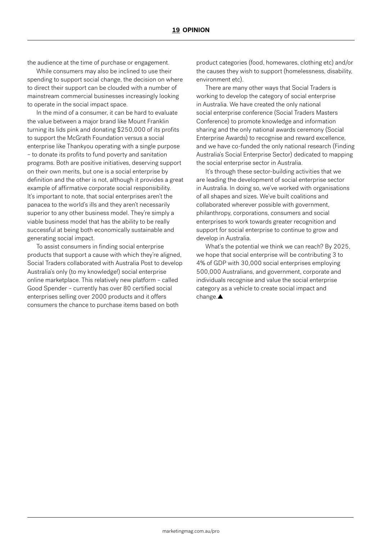the audience at the time of purchase or engagement.

While consumers may also be inclined to use their spending to support social change, the decision on where to direct their support can be clouded with a number of mainstream commercial businesses increasingly looking to operate in the social impact space.

In the mind of a consumer, it can be hard to evaluate the value between a major brand like Mount Franklin turning its lids pink and donating \$250,000 of its profits to support the McGrath Foundation versus a social enterprise like Thankyou operating with a single purpose – to donate its profits to fund poverty and sanitation programs. Both are positive initiatives, deserving support on their own merits, but one is a social enterprise by definition and the other is not, although it provides a great example of affirmative corporate social responsibility. It's important to note, that social enterprises aren't the panacea to the world's ills and they aren't necessarily superior to any other business model. They're simply a viable business model that has the ability to be really successful at being both economically sustainable and generating social impact.

To assist consumers in finding social enterprise products that support a cause with which they're aligned, Social Traders collaborated with Australia Post to develop Australia's only (to my knowledge!) social enterprise online marketplace. This relatively new platform – called Good Spender – currently has over 80 certified social enterprises selling over 2000 products and it offers consumers the chance to purchase items based on both

product categories (food, homewares, clothing etc) and/or the causes they wish to support (homelessness, disability, environment etc).

There are many other ways that Social Traders is working to develop the category of social enterprise in Australia. We have created the only national social enterprise conference (Social Traders Masters Conference) to promote knowledge and information sharing and the only national awards ceremony (Social Enterprise Awards) to recognise and reward excellence, and we have co-funded the only national research (Finding Australia's Social Enterprise Sector) dedicated to mapping the social enterprise sector in Australia.

It's through these sector-building activities that we are leading the development of social enterprise sector in Australia. In doing so, we've worked with organisations of all shapes and sizes. We've built coalitions and collaborated wherever possible with government, philanthropy, corporations, consumers and social enterprises to work towards greater recognition and support for social enterprise to continue to grow and develop in Australia.

What's the potential we think we can reach? By 2025, we hope that social enterprise will be contributing 3 to 4% of GDP with 30,000 social enterprises employing 500,000 Australians, and government, corporate and individuals recognise and value the social enterprise category as a vehicle to create social impact and change.▲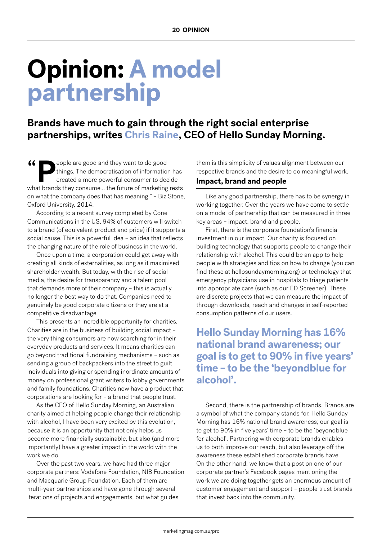## **Opinion: A model partnership**

**Brands have much to gain through the right social enterprise partnerships, writes Chris Raine, CEO of Hello Sunday Morning.**

 $66$  PPeople are good and they want to do good things. The democratisation of information has created a more powerful consumer to decide what brands they consume... the future of marketing rests on what the company does that has meaning." – Biz Stone, Oxford University, 2014.

According to a recent survey completed by Cone Communications in the US, 94% of customers will switch to a brand (of equivalent product and price) if it supports a social cause. This is a powerful idea – an idea that reflects the changing nature of the role of business in the world.

Once upon a time, a corporation could get away with creating all kinds of externalities, as long as it maximised shareholder wealth. But today, with the rise of social media, the desire for transparency and a talent pool that demands more of their company – this is actually no longer the best way to do that. Companies need to genuinely be good corporate citizens or they are at a competitive disadvantage.

This presents an incredible opportunity for charities. Charities are in the business of building social impact – the very thing consumers are now searching for in their everyday products and services. It means charities can go beyond traditional fundraising mechanisms – such as sending a group of backpackers into the street to guilt individuals into giving or spending inordinate amounts of money on professional grant writers to lobby governments and family foundations. Charities now have a product that corporations are looking for – a brand that people trust.

As the CEO of Hello Sunday Morning, an Australian charity aimed at helping people change their relationship with alcohol, I have been very excited by this evolution, because it is an opportunity that not only helps us become more financially sustainable, but also (and more importantly) have a greater impact in the world with the work we do.

Over the past two years, we have had three major corporate partners: Vodafone Foundation, NIB Foundation and Macquarie Group Foundation. Each of them are multi-year partnerships and have gone through several iterations of projects and engagements, but what guides

them is this simplicity of values alignment between our respective brands and the desire to do meaningful work.

#### **Impact, brand and people**

Like any good partnership, there has to be synergy in working together. Over the years we have come to settle on a model of partnership that can be measured in three key areas – impact, brand and people.

First, there is the corporate foundation's financial investment in our impact. Our charity is focused on building technology that supports people to change their relationship with alcohol. This could be an app to help people with strategies and tips on how to change (you can find these at hellosundaymorning.org) or technology that emergency physicians use in hospitals to triage patients into appropriate care (such as our ED Screener). These are discrete projects that we can measure the impact of through downloads, reach and changes in self-reported consumption patterns of our users.

**Hello Sunday Morning has 16% national brand awareness; our goal is to get to 90% in five years' time – to be the 'beyondblue for alcohol'.**

Second, there is the partnership of brands. Brands are a symbol of what the company stands for. Hello Sunday Morning has 16% national brand awareness; our goal is to get to 90% in five years' time – to be the 'beyondblue for alcohol'. Partnering with corporate brands enables us to both improve our reach, but also leverage off the awareness these established corporate brands have. On the other hand, we know that a post on one of our corporate partner's Facebook pages mentioning the work we are doing together gets an enormous amount of customer engagement and support – people trust brands that invest back into the community.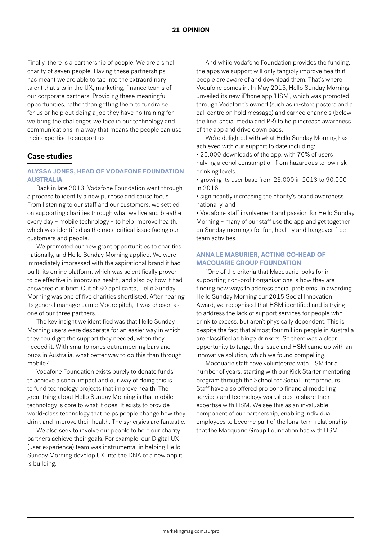Finally, there is a partnership of people. We are a small charity of seven people. Having these partnerships has meant we are able to tap into the extraordinary talent that sits in the UX, marketing, finance teams of our corporate partners. Providing these meaningful opportunities, rather than getting them to fundraise for us or help out doing a job they have no training for, we bring the challenges we face in our technology and communications in a way that means the people can use their expertise to support us.

#### **Case studies**

#### **ALYSSA JONES, HEAD OF VODAFONE FOUNDATION AUSTRALIA**

Back in late 2013, Vodafone Foundation went through a process to identify a new purpose and cause focus. From listening to our staff and our customers, we settled on supporting charities through what we live and breathe every day – mobile technology – to help improve health, which was identified as the most critical issue facing our customers and people.

We promoted our new grant opportunities to charities nationally, and Hello Sunday Morning applied. We were immediately impressed with the aspirational brand it had built, its online platform, which was scientifically proven to be effective in improving health, and also by how it had answered our brief. Out of 80 applicants, Hello Sunday Morning was one of five charities shortlisted. After hearing its general manager Jamie Moore pitch, it was chosen as one of our three partners.

The key insight we identified was that Hello Sunday Morning users were desperate for an easier way in which they could get the support they needed, when they needed it. With smartphones outnumbering bars and pubs in Australia, what better way to do this than through mobile?

Vodafone Foundation exists purely to donate funds to achieve a social impact and our way of doing this is to fund technology projects that improve health. The great thing about Hello Sunday Morning is that mobile technology is core to what it does. It exists to provide world-class technology that helps people change how they drink and improve their health. The synergies are fantastic.

We also seek to involve our people to help our charity partners achieve their goals. For example, our Digital UX (user experience) team was instrumental in helping Hello Sunday Morning develop UX into the DNA of a new app it is building.

And while Vodafone Foundation provides the funding, the apps we support will only tangibly improve health if people are aware of and download them. That's where Vodafone comes in. In May 2015, Hello Sunday Morning unveiled its new iPhone app 'HSM', which was promoted through Vodafone's owned (such as in-store posters and a call centre on hold message) and earned channels (below the line: social media and PR) to help increase awareness of the app and drive downloads.

We're delighted with what Hello Sunday Morning has achieved with our support to date including:

• 20,000 downloads of the app, with 70% of users halving alcohol consumption from hazardous to low risk drinking levels,

• growing its user base from 25,000 in 2013 to 90,000 in 2016,

• significantly increasing the charity's brand awareness nationally, and

• Vodafone staff involvement and passion for Hello Sunday Morning – many of our staff use the app and get together on Sunday mornings for fun, healthy and hangover-free team activities.

#### **ANNA LE MASURIER, ACTING CO-HEAD OF MACQUARIE GROUP FOUNDATION**

"One of the criteria that Macquarie looks for in supporting non-profit organisations is how they are finding new ways to address social problems. In awarding Hello Sunday Morning our 2015 Social Innovation Award, we recognised that HSM identified and is trying to address the lack of support services for people who drink to excess, but aren't physically dependent. This is despite the fact that almost four million people in Australia are classified as binge drinkers. So there was a clear opportunity to target this issue and HSM came up with an innovative solution, which we found compelling.

Macquarie staff have volunteered with HSM for a number of years, starting with our Kick Starter mentoring program through the School for Social Entrepreneurs. Staff have also offered pro bono financial modelling services and technology workshops to share their expertise with HSM. We see this as an invaluable component of our partnership, enabling individual employees to become part of the long-term relationship that the Macquarie Group Foundation has with HSM.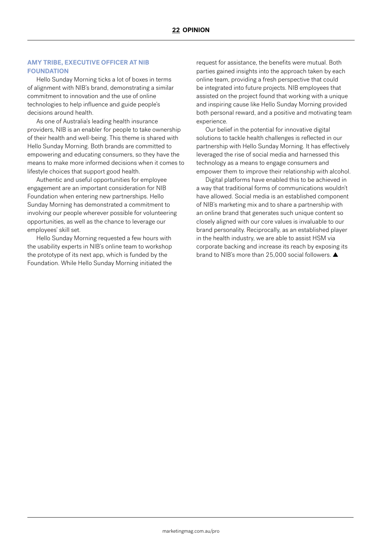#### **AMY TRIBE, EXECUTIVE OFFICER AT NIB FOUNDATION**

Hello Sunday Morning ticks a lot of boxes in terms of alignment with NIB's brand, demonstrating a similar commitment to innovation and the use of online technologies to help influence and guide people's decisions around health.

As one of Australia's leading health insurance providers, NIB is an enabler for people to take ownership of their health and well-being. This theme is shared with Hello Sunday Morning. Both brands are committed to empowering and educating consumers, so they have the means to make more informed decisions when it comes to lifestyle choices that support good health.

Authentic and useful opportunities for employee engagement are an important consideration for NIB Foundation when entering new partnerships. Hello Sunday Morning has demonstrated a commitment to involving our people wherever possible for volunteering opportunities, as well as the chance to leverage our employees' skill set.

Hello Sunday Morning requested a few hours with the usability experts in NIB's online team to workshop the prototype of its next app, which is funded by the Foundation. While Hello Sunday Morning initiated the

request for assistance, the benefits were mutual. Both parties gained insights into the approach taken by each online team, providing a fresh perspective that could be integrated into future projects. NIB employees that assisted on the project found that working with a unique and inspiring cause like Hello Sunday Morning provided both personal reward, and a positive and motivating team experience.

Our belief in the potential for innovative digital solutions to tackle health challenges is reflected in our partnership with Hello Sunday Morning. It has effectively leveraged the rise of social media and harnessed this technology as a means to engage consumers and empower them to improve their relationship with alcohol.

Digital platforms have enabled this to be achieved in a way that traditional forms of communications wouldn't have allowed. Social media is an established component of NIB's marketing mix and to share a partnership with an online brand that generates such unique content so closely aligned with our core values is invaluable to our brand personality. Reciprocally, as an established player in the health industry, we are able to assist HSM via corporate backing and increase its reach by exposing its brand to NIB's more than 25,000 social followers. ▲